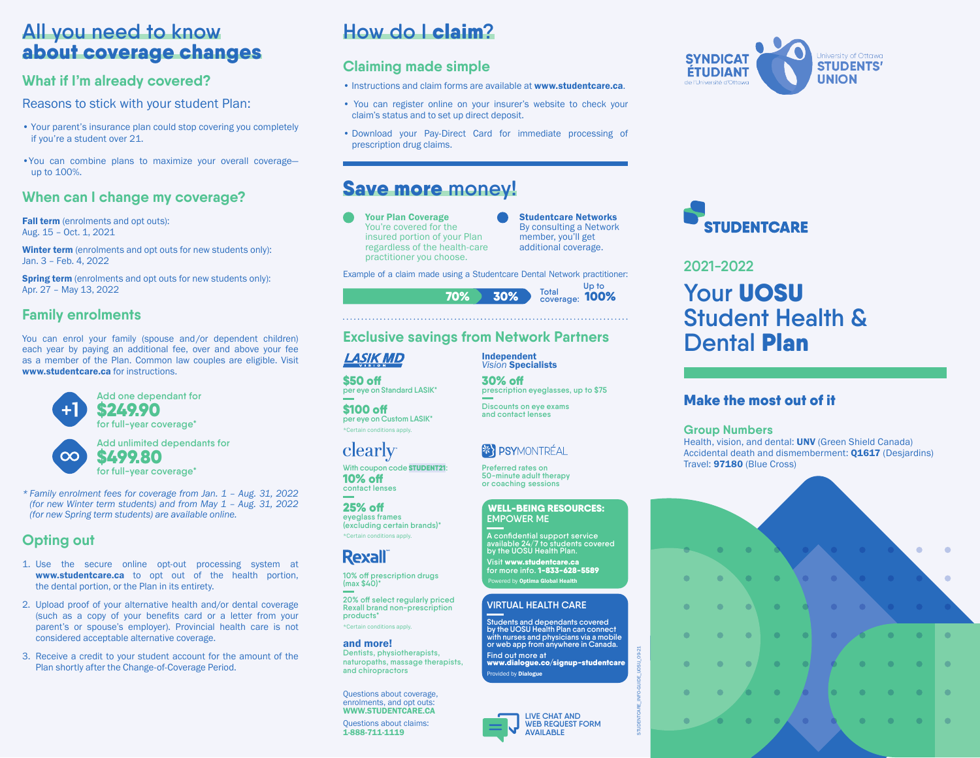## **All you need to know** about coverage changes

## **What if I'm already covered?**

Reasons to stick with your student Plan:

- Your parent's insurance plan could stop covering you completely if you're a student over 21.
- •You can combine plans to maximize your overall coverage up to 100%.

### **When can I change my coverage?**

Fall term (enrolments and opt outs): Aug. 15 – Oct. 1, 2021

Winter term (enrolments and opt outs for new students only): Jan. 3 – Feb. 4, 2022

Spring term (enrolments and opt outs for new students only): Apr. 27 – May 13, 2022

### **Family enrolments**

You can enrol your family (spouse and/or dependent children) each year by paying an additional fee, over and above your fee as a member of the Plan. Common law couples are eligible. Visit www.studentcare.ca for instructions.



**Add unlimited dependants for** \$499.80

**for full-year coverage\***

*\* Family enrolment fees for coverage from Jan. 1 – Aug. 31, 2022 (for new Winter term students) and from May 1 – Aug. 31, 2022 (for new Spring term students) are available online.*

## **Opting out**

 $\infty$ 

- 1. Use the secure online opt-out processing system at www.studentcare.ca to opt out of the health portion, the dental portion, or the Plan in its entirety.
- 2. Upload proof of your alternative health and/or dental coverage (such as a copy of your benefits card or a letter from your parent's or spouse's employer). Provincial health care is not considered acceptable alternative coverage.
- 3. Receive a credit to your student account for the amount of the Plan shortly after the Change-of-Coverage Period.

# **How do I** claim**?**

## **Claiming made simple**

- Instructions and claim forms are available at www.studentcare.ca.
- You can register online on your insurer's website to check your claim's status and to set up direct deposit.
- Download your Pay-Direct Card for immediate processing of prescription drug claims.

## Save more **money!**

- Your Plan Coverage You're covered for the insured portion of your Plan regardless of the health-care practitioner you choose.
- Studentcare Networks By consulting a Network member, you'll get additional coverage.

Example of a claim made using a Studentcare Dental Network practitioner:



Independent

## **Exclusive savings from Network Partners**

## LASIK MD

\$50 off **per eye on Standard LASIK\*** 

\$100 off **per eye on Custom LASIK\*** \*Certain conditions apply.

## clearly

**With coupon code** STUDENT21**:** 10% off **contact lenses**

25% off **eyeglass frames (excluding certain brands)\*** \*Certain conditions apply.

## **Rexall**

**10% off prescription drugs (max \$40)\* 20% off select regularly priced Rexall brand non-prescription products\***

\*Certain conditions apply.

#### and more!

**Dentists, physiotherapists, naturopaths, massage therapists, and chiropractors**

Questions about coverage, enrolments, and opt outs: WWW.STUDENTCARE.CA

Questions about claims: 1-888-711-1119



STUDENTCARE\_INFO-GUIDE\_UOSU\_09-21





# **2021-2022 Your** UOSU **Student Health & Dental** Plan

### Make the most out of it

#### **Group Numbers**

Health, vision, and dental: UNV (Green Shield Canada) Accidental death and dismemberment: **Q1617** (Desjardins) Travel: 97180 (Blue Cross)



#### *Vision* Specialists 30% off **prescription eyeglasses, up to \$75**

**Discounts on eye exams and contact lenses**

## **XY PSYMONTRÉAL**

**Preferred rates on 50-minute adult therapy or coaching sessions**

#### WELL-BEING RESOURCES: **EMPOWER ME**

**A confidential support service available 24/7 to students covered by the UOSU Health Plan.** 

**Visit** www.studentcare.ca **for more info.** 1-833-628-5589 Powered by Optima Global Health

#### **VIRTUAL HEALTH CARE**

**Students and dependants covered by the UOSU Health Plan can connect with nurses and physicians via a mobile or web app from anywhere in Canada. Find out more at**  www.dialogue.co/signup-studentcare Provided by **Dialogue**